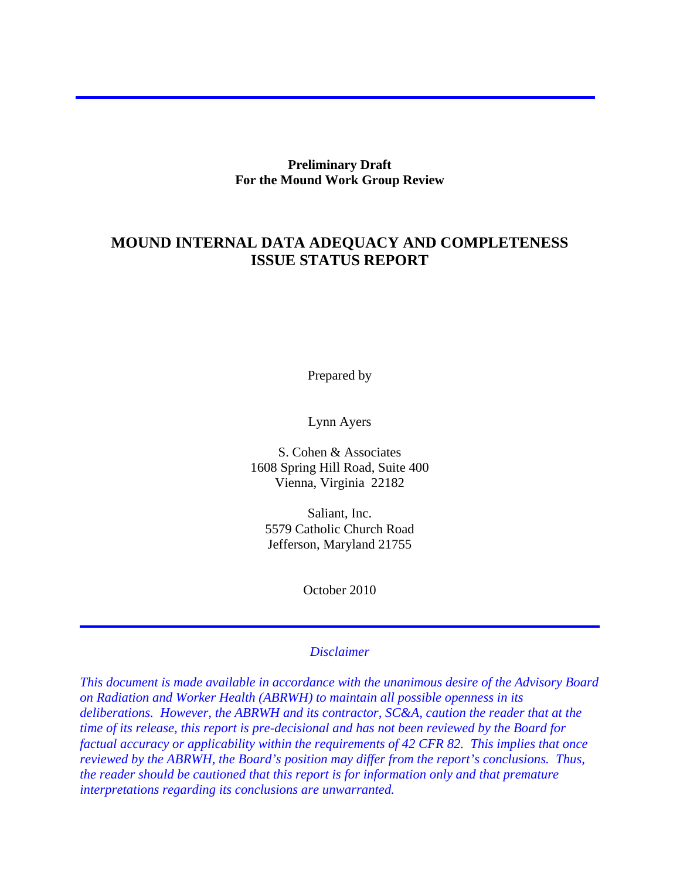**Preliminary Draft For the Mound Work Group Review** 

## **MOUND INTERNAL DATA ADEQUACY AND COMPLETENESS ISSUE STATUS REPORT**

Prepared by

Lynn Ayers

S. Cohen & Associates 1608 Spring Hill Road, Suite 400 Vienna, Virginia 22182

Saliant, Inc. 5579 Catholic Church Road Jefferson, Maryland 21755

October 2010

### *Disclaimer*

*This document is made available in accordance with the unanimous desire of the Advisory Board on Radiation and Worker Health (ABRWH) to maintain all possible openness in its deliberations. However, the ABRWH and its contractor, SC&A, caution the reader that at the time of its release, this report is pre-decisional and has not been reviewed by the Board for factual accuracy or applicability within the requirements of 42 CFR 82. This implies that once reviewed by the ABRWH, the Board's position may differ from the report's conclusions. Thus, the reader should be cautioned that this report is for information only and that premature interpretations regarding its conclusions are unwarranted.*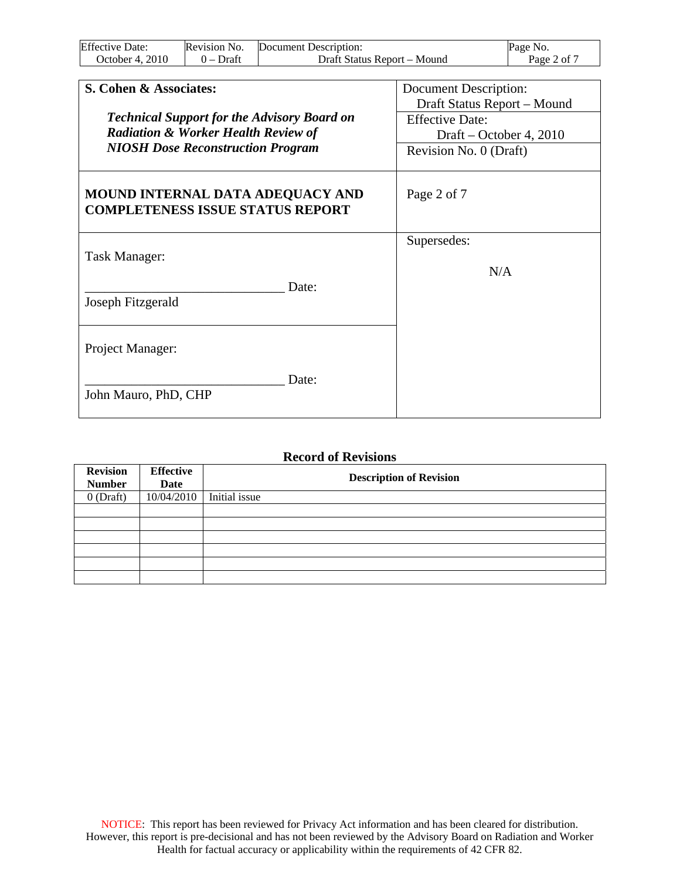| <b>Effective Date:</b> | Revision No. | Document Description:       | Page No.    |
|------------------------|--------------|-----------------------------|-------------|
| October 4. 2010        | $0$ – Draft  | Draft Status Report – Mound | Page 2 of 7 |

| S. Cohen & Associates:                                                                               | Document Description:<br>Draft Status Report - Mound |  |
|------------------------------------------------------------------------------------------------------|------------------------------------------------------|--|
| <b>Technical Support for the Advisory Board on</b><br><b>Radiation &amp; Worker Health Review of</b> | <b>Effective Date:</b><br>Draft – October 4, 2010    |  |
| <b>NIOSH Dose Reconstruction Program</b>                                                             | Revision No. 0 (Draft)                               |  |
| <b>MOUND INTERNAL DATA ADEQUACY AND</b><br><b>COMPLETENESS ISSUE STATUS REPORT</b>                   | Page 2 of 7                                          |  |
| Task Manager:                                                                                        | Supersedes:                                          |  |
| Date:<br>Joseph Fitzgerald                                                                           | N/A                                                  |  |
| Project Manager:                                                                                     |                                                      |  |
| Date:<br>John Mauro, PhD, CHP                                                                        |                                                      |  |

#### **Record of Revisions**

| <b>Revision</b> | <b>Effective</b> | <b>Description of Revision</b> |  |
|-----------------|------------------|--------------------------------|--|
| <b>Number</b>   | Date             |                                |  |
| $0$ (Draft)     | 10/04/2010       | Initial issue                  |  |
|                 |                  |                                |  |
|                 |                  |                                |  |
|                 |                  |                                |  |
|                 |                  |                                |  |
|                 |                  |                                |  |
|                 |                  |                                |  |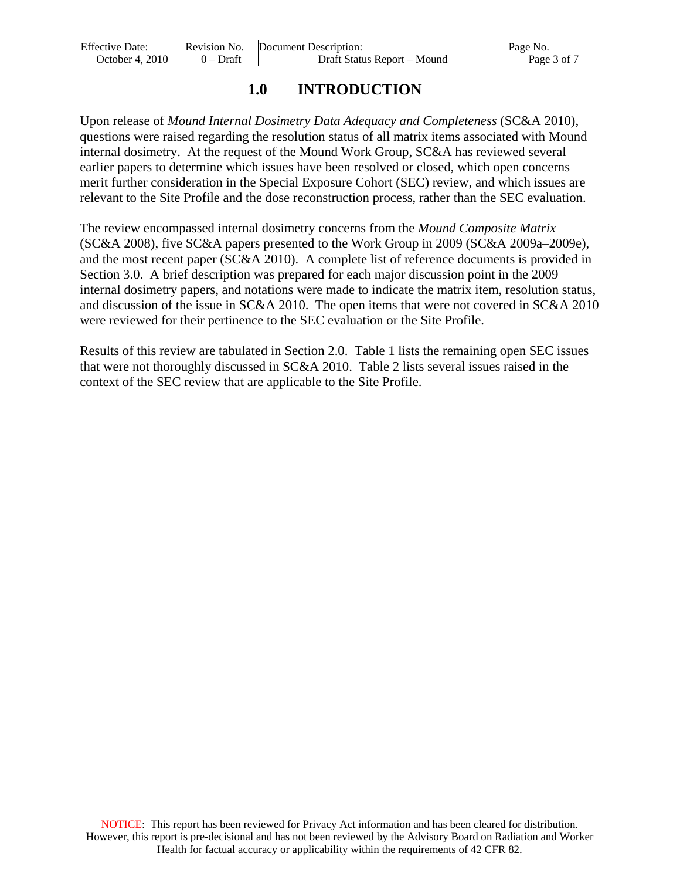| <b>Effective Date:</b> | Revision No. | Document Description:       | Page No.    |
|------------------------|--------------|-----------------------------|-------------|
| October 4, 2010        | 0 – Draft    | Draft Status Report – Mound | Page 3 of " |

## **1.0 INTRODUCTION**

Upon release of *Mound Internal Dosimetry Data Adequacy and Completeness* (SC&A 2010), questions were raised regarding the resolution status of all matrix items associated with Mound internal dosimetry. At the request of the Mound Work Group, SC&A has reviewed several earlier papers to determine which issues have been resolved or closed, which open concerns merit further consideration in the Special Exposure Cohort (SEC) review, and which issues are relevant to the Site Profile and the dose reconstruction process, rather than the SEC evaluation.

The review encompassed internal dosimetry concerns from the *Mound Composite Matrix* (SC&A 2008), five SC&A papers presented to the Work Group in 2009 (SC&A 2009a–2009e), and the most recent paper (SC&A 2010). A complete list of reference documents is provided in Section 3.0. A brief description was prepared for each major discussion point in the 2009 internal dosimetry papers, and notations were made to indicate the matrix item, resolution status, and discussion of the issue in SC&A 2010. The open items that were not covered in SC&A 2010 were reviewed for their pertinence to the SEC evaluation or the Site Profile.

Results of this review are tabulated in Section 2.0. Table 1 lists the remaining open SEC issues that were not thoroughly discussed in SC&A 2010. Table 2 lists several issues raised in the context of the SEC review that are applicable to the Site Profile.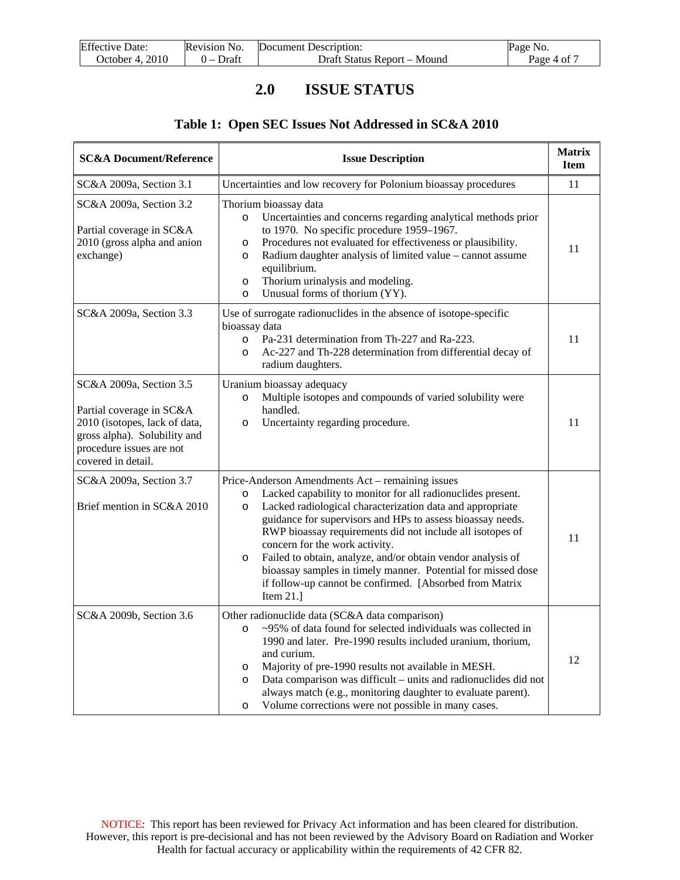| <b>Effective Date:</b> | Revision No. | Document Description:       | Page No.    |
|------------------------|--------------|-----------------------------|-------------|
| October 4, 2010        | $0$ – Draft  | Draft Status Report – Mound | Page 4 of 7 |

# **2.0 ISSUE STATUS**

### **Table 1: Open SEC Issues Not Addressed in SC&A 2010**

| <b>SC&amp;A Document/Reference</b>                                                                                                                                     | <b>Issue Description</b>                                                                                                                                                                                                                                                                                                                                                                                                                                                                                                                                                |    |  |
|------------------------------------------------------------------------------------------------------------------------------------------------------------------------|-------------------------------------------------------------------------------------------------------------------------------------------------------------------------------------------------------------------------------------------------------------------------------------------------------------------------------------------------------------------------------------------------------------------------------------------------------------------------------------------------------------------------------------------------------------------------|----|--|
| SC&A 2009a, Section 3.1                                                                                                                                                | Uncertainties and low recovery for Polonium bioassay procedures                                                                                                                                                                                                                                                                                                                                                                                                                                                                                                         | 11 |  |
| SC&A 2009a, Section 3.2<br>Partial coverage in SC&A<br>2010 (gross alpha and anion<br>exchange)                                                                        | Thorium bioassay data<br>Uncertainties and concerns regarding analytical methods prior<br>$\circ$<br>to 1970. No specific procedure 1959-1967.<br>Procedures not evaluated for effectiveness or plausibility.<br>O<br>Radium daughter analysis of limited value - cannot assume<br>$\circ$<br>equilibrium.<br>Thorium urinalysis and modeling.<br>$\circ$<br>Unusual forms of thorium (YY).<br>$\circ$                                                                                                                                                                  | 11 |  |
| SC&A 2009a, Section 3.3                                                                                                                                                | Use of surrogate radionuclides in the absence of isotope-specific<br>bioassay data<br>Pa-231 determination from Th-227 and Ra-223.<br>$\circ$<br>Ac-227 and Th-228 determination from differential decay of<br>$\circ$<br>radium daughters.                                                                                                                                                                                                                                                                                                                             | 11 |  |
| SC&A 2009a, Section 3.5<br>Partial coverage in SC&A<br>2010 (isotopes, lack of data,<br>gross alpha). Solubility and<br>procedure issues are not<br>covered in detail. | Uranium bioassay adequacy<br>Multiple isotopes and compounds of varied solubility were<br>$\circ$<br>handled.<br>Uncertainty regarding procedure.<br>$\circ$                                                                                                                                                                                                                                                                                                                                                                                                            | 11 |  |
| SC&A 2009a, Section 3.7<br>Brief mention in SC&A 2010                                                                                                                  | Price-Anderson Amendments Act – remaining issues<br>Lacked capability to monitor for all radionuclides present.<br>O<br>Lacked radiological characterization data and appropriate<br>$\circ$<br>guidance for supervisors and HPs to assess bioassay needs.<br>RWP bioassay requirements did not include all isotopes of<br>concern for the work activity.<br>Failed to obtain, analyze, and/or obtain vendor analysis of<br>O<br>bioassay samples in timely manner. Potential for missed dose<br>if follow-up cannot be confirmed. [Absorbed from Matrix<br>Item $21.1$ | 11 |  |
| SC&A 2009b, Section 3.6                                                                                                                                                | Other radionuclide data (SC&A data comparison)<br>~95% of data found for selected individuals was collected in<br>$\circ$<br>1990 and later. Pre-1990 results included uranium, thorium,<br>and curium.<br>Majority of pre-1990 results not available in MESH.<br>O<br>Data comparison was difficult - units and radionuclides did not<br>O<br>always match (e.g., monitoring daughter to evaluate parent).<br>Volume corrections were not possible in many cases.<br>$\circ$                                                                                           | 12 |  |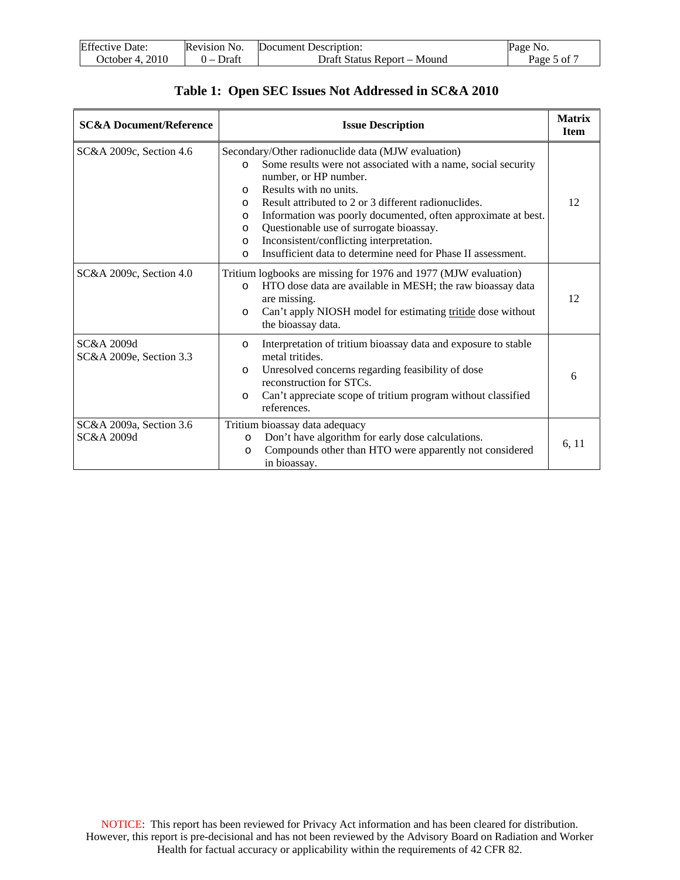| <b>Effective Date:</b> | Revision No. | Document Description:       | Page No.    |
|------------------------|--------------|-----------------------------|-------------|
| October 4. 2010        | $0$ – Draft  | Draft Status Report – Mound | Page 5 of 7 |

|  |  |  |  | Table 1: Open SEC Issues Not Addressed in SC&A 2010 |
|--|--|--|--|-----------------------------------------------------|
|--|--|--|--|-----------------------------------------------------|

| <b>SC&amp;A Document/Reference</b>    | <b>Issue Description</b>                                                                                                                                                                                                                                                                                                                                                                                                                                                                                                             |       |  |
|---------------------------------------|--------------------------------------------------------------------------------------------------------------------------------------------------------------------------------------------------------------------------------------------------------------------------------------------------------------------------------------------------------------------------------------------------------------------------------------------------------------------------------------------------------------------------------------|-------|--|
| SC&A 2009c, Section 4.6               | Secondary/Other radionuclide data (MJW evaluation)<br>Some results were not associated with a name, social security<br>$\circ$<br>number, or HP number.<br>Results with no units.<br>$\circ$<br>Result attributed to 2 or 3 different radionuclides.<br>$\Omega$<br>Information was poorly documented, often approximate at best.<br>$\circ$<br>Questionable use of surrogate bioassay.<br>$\circ$<br>Inconsistent/conflicting interpretation.<br>$\circ$<br>Insufficient data to determine need for Phase II assessment.<br>$\circ$ | 12    |  |
| SC&A 2009c, Section 4.0               | Tritium logbooks are missing for 1976 and 1977 (MJW evaluation)<br>HTO dose data are available in MESH; the raw bioassay data<br>$\circ$<br>are missing.<br>Can't apply NIOSH model for estimating tritide dose without<br>$\circ$<br>the bioassay data.                                                                                                                                                                                                                                                                             | 12    |  |
| SC&A 2009d<br>SC&A 2009e, Section 3.3 | Interpretation of tritium bioassay data and exposure to stable<br>$\Omega$<br>metal tritides.<br>Unresolved concerns regarding feasibility of dose<br>$\circ$<br>reconstruction for STCs.<br>Can't appreciate scope of tritium program without classified<br>$\circ$<br>references.                                                                                                                                                                                                                                                  | 6     |  |
| SC&A 2009a, Section 3.6<br>SC&A 2009d | Tritium bioassay data adequacy<br>Don't have algorithm for early dose calculations.<br>$\circ$<br>Compounds other than HTO were apparently not considered<br>$\circ$<br>in bioassay.                                                                                                                                                                                                                                                                                                                                                 | 6, 11 |  |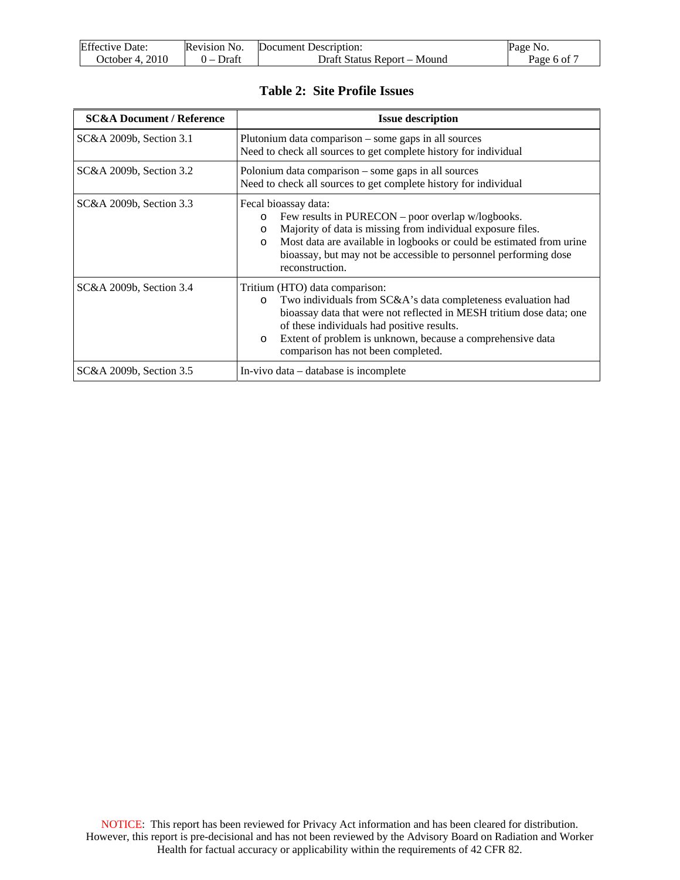| <b>Effective Date:</b> | Revision No. | Document Description:       | Page No.    |
|------------------------|--------------|-----------------------------|-------------|
| October 4. 2010        | $0$ – Draft  | Draft Status Report – Mound | Page 6 of 7 |

### **Table 2: Site Profile Issues**

| <b>SC&amp;A Document / Reference</b> | <b>Issue description</b>                                                                                                                                                                                                                                                                                                                       |  |  |
|--------------------------------------|------------------------------------------------------------------------------------------------------------------------------------------------------------------------------------------------------------------------------------------------------------------------------------------------------------------------------------------------|--|--|
| SC&A 2009b, Section 3.1              | Plutonium data comparison – some gaps in all sources<br>Need to check all sources to get complete history for individual                                                                                                                                                                                                                       |  |  |
| SC&A 2009b, Section 3.2              | Polonium data comparison – some gaps in all sources<br>Need to check all sources to get complete history for individual                                                                                                                                                                                                                        |  |  |
| SC&A 2009b, Section 3.3              | Fecal bioassay data:<br>Few results in PURECON – poor overlap w/logbooks.<br>$\circ$<br>Majority of data is missing from individual exposure files.<br>$\circ$<br>Most data are available in logbooks or could be estimated from urine<br>$\Omega$<br>bioassay, but may not be accessible to personnel performing dose<br>reconstruction.      |  |  |
| SC&A 2009b, Section 3.4              | Tritium (HTO) data comparison:<br>Two individuals from SC&A's data completeness evaluation had<br>$\circ$<br>bioassay data that were not reflected in MESH tritium dose data; one<br>of these individuals had positive results.<br>Extent of problem is unknown, because a comprehensive data<br>$\circ$<br>comparison has not been completed. |  |  |
| SC&A 2009b, Section 3.5              | In-vivo data – database is incomplete                                                                                                                                                                                                                                                                                                          |  |  |